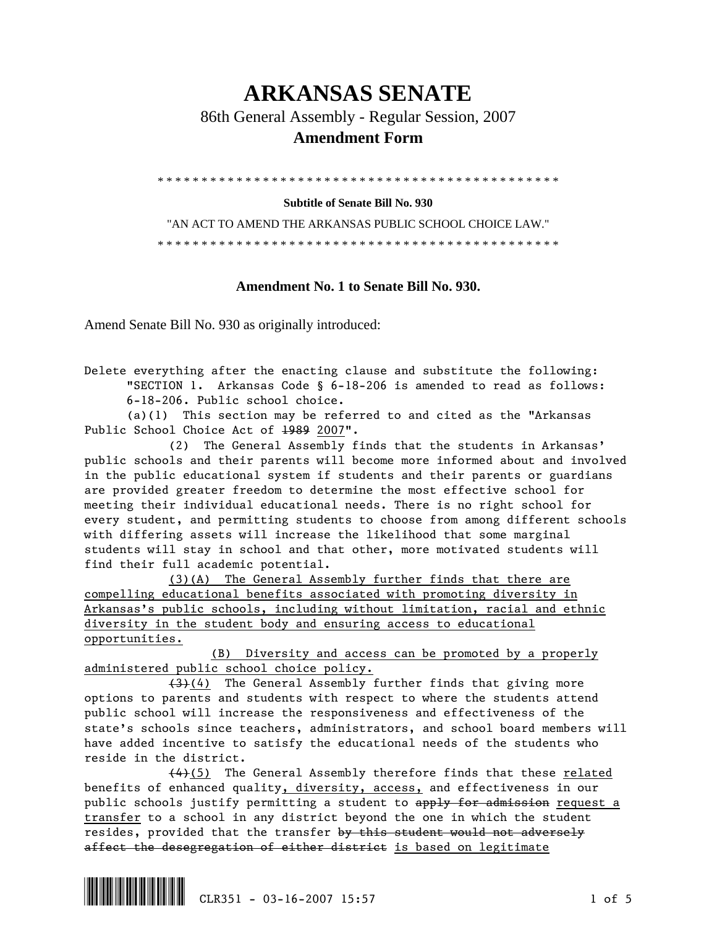## **ARKANSAS SENATE**

86th General Assembly - Regular Session, 2007

## **Amendment Form**

\* \* \* \* \* \* \* \* \* \* \* \* \* \* \* \* \* \* \* \* \* \* \* \* \* \* \* \* \* \* \* \* \* \* \* \* \* \* \* \* \* \* \* \* \* \*

**Subtitle of Senate Bill No. 930** 

"AN ACT TO AMEND THE ARKANSAS PUBLIC SCHOOL CHOICE LAW." \* \* \* \* \* \* \* \* \* \* \* \* \* \* \* \* \* \* \* \* \* \* \* \* \* \* \* \* \* \* \* \* \* \* \* \* \* \* \* \* \* \* \* \* \* \*

## **Amendment No. 1 to Senate Bill No. 930.**

Amend Senate Bill No. 930 as originally introduced:

Delete everything after the enacting clause and substitute the following: "SECTION 1. Arkansas Code § 6-18-206 is amended to read as follows: 6-18-206. Public school choice.

 (a)(1) This section may be referred to and cited as the "Arkansas Public School Choice Act of 1989 2007".

 (2) The General Assembly finds that the students in Arkansas' public schools and their parents will become more informed about and involved in the public educational system if students and their parents or guardians are provided greater freedom to determine the most effective school for meeting their individual educational needs. There is no right school for every student, and permitting students to choose from among different schools with differing assets will increase the likelihood that some marginal students will stay in school and that other, more motivated students will find their full academic potential.

 (3)(A) The General Assembly further finds that there are compelling educational benefits associated with promoting diversity in Arkansas's public schools, including without limitation, racial and ethnic diversity in the student body and ensuring access to educational opportunities.

 (B) Diversity and access can be promoted by a properly administered public school choice policy.

 (3)(4) The General Assembly further finds that giving more options to parents and students with respect to where the students attend public school will increase the responsiveness and effectiveness of the state's schools since teachers, administrators, and school board members will have added incentive to satisfy the educational needs of the students who reside in the district.

 (4)(5) The General Assembly therefore finds that these related benefits of enhanced quality, diversity, access, and effectiveness in our public schools justify permitting a student to apply for admission request a transfer to a school in any district beyond the one in which the student resides, provided that the transfer by this student would not adversely affect the desegregation of either district is based on legitimate

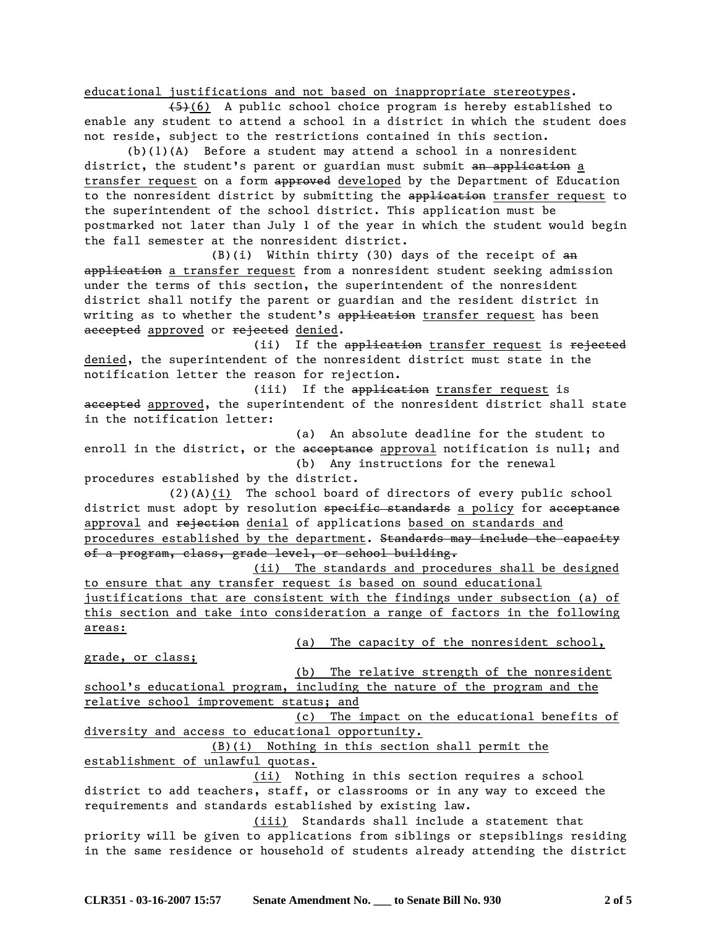educational justifications and not based on inappropriate stereotypes.

 (5)(6) A public school choice program is hereby established to enable any student to attend a school in a district in which the student does not reside, subject to the restrictions contained in this section.

 $(b)(1)(A)$  Before a student may attend a school in a nonresident district, the student's parent or guardian must submit an application a transfer request on a form approved developed by the Department of Education to the nonresident district by submitting the application transfer request to the superintendent of the school district. This application must be postmarked not later than July 1 of the year in which the student would begin the fall semester at the nonresident district.

 $(B)(i)$  Within thirty (30) days of the receipt of  $an$ application a transfer request from a nonresident student seeking admission under the terms of this section, the superintendent of the nonresident district shall notify the parent or guardian and the resident district in writing as to whether the student's application transfer request has been accepted approved or rejected denied.

(ii) If the application transfer request is rejected denied, the superintendent of the nonresident district must state in the notification letter the reason for rejection.

(iii) If the application transfer request is accepted approved, the superintendent of the nonresident district shall state in the notification letter:

 (a) An absolute deadline for the student to enroll in the district, or the acceptance approval notification is null; and (b) Any instructions for the renewal

procedures established by the district. (2)(A)(i) The school board of directors of every public school

district must adopt by resolution specific standards a policy for acceptance approval and rejection denial of applications based on standards and procedures established by the department. Standards may include the capacity of a program, class, grade level, or school building.

 (ii) The standards and procedures shall be designed to ensure that any transfer request is based on sound educational justifications that are consistent with the findings under subsection (a) of this section and take into consideration a range of factors in the following areas:

(a) The capacity of the nonresident school,

grade, or class;

 (b) The relative strength of the nonresident school's educational program, including the nature of the program and the relative school improvement status; and

 (c) The impact on the educational benefits of diversity and access to educational opportunity.

 (B)(i) Nothing in this section shall permit the establishment of unlawful quotas.

 (ii) Nothing in this section requires a school district to add teachers, staff, or classrooms or in any way to exceed the requirements and standards established by existing law.

 (iii) Standards shall include a statement that priority will be given to applications from siblings or stepsiblings residing in the same residence or household of students already attending the district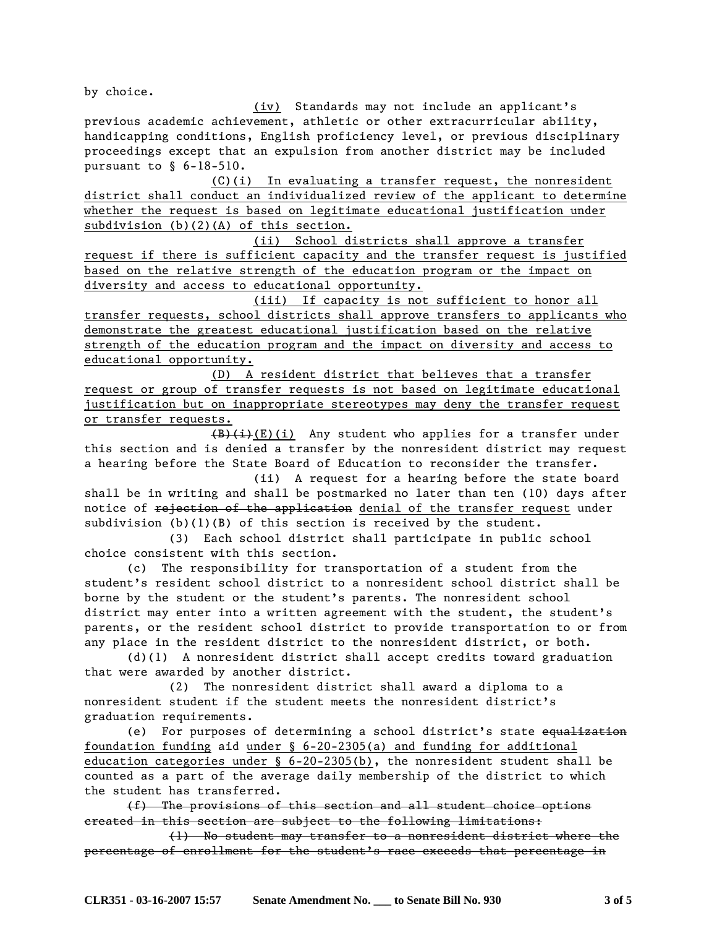by choice.

 (iv) Standards may not include an applicant's previous academic achievement, athletic or other extracurricular ability, handicapping conditions, English proficiency level, or previous disciplinary proceedings except that an expulsion from another district may be included pursuant to § 6-18-510.

 (C)(i) In evaluating a transfer request, the nonresident district shall conduct an individualized review of the applicant to determine whether the request is based on legitimate educational justification under subdivision (b)(2)(A) of this section.

 (ii) School districts shall approve a transfer request if there is sufficient capacity and the transfer request is justified based on the relative strength of the education program or the impact on diversity and access to educational opportunity.

 (iii) If capacity is not sufficient to honor all transfer requests, school districts shall approve transfers to applicants who demonstrate the greatest educational justification based on the relative strength of the education program and the impact on diversity and access to educational opportunity.

 (D) A resident district that believes that a transfer request or group of transfer requests is not based on legitimate educational justification but on inappropriate stereotypes may deny the transfer request or transfer requests.

 $(B)(i)$ (E)(i) Any student who applies for a transfer under this section and is denied a transfer by the nonresident district may request a hearing before the State Board of Education to reconsider the transfer.

 (ii) A request for a hearing before the state board shall be in writing and shall be postmarked no later than ten (10) days after notice of rejection of the application denial of the transfer request under subdivision (b)(1)(B) of this section is received by the student.

 (3) Each school district shall participate in public school choice consistent with this section.

 (c) The responsibility for transportation of a student from the student's resident school district to a nonresident school district shall be borne by the student or the student's parents. The nonresident school district may enter into a written agreement with the student, the student's parents, or the resident school district to provide transportation to or from any place in the resident district to the nonresident district, or both.

 (d)(1) A nonresident district shall accept credits toward graduation that were awarded by another district.

 (2) The nonresident district shall award a diploma to a nonresident student if the student meets the nonresident district's graduation requirements.

 (e) For purposes of determining a school district's state equalization foundation funding aid under § 6-20-2305(a) and funding for additional education categories under § 6-20-2305(b), the nonresident student shall be counted as a part of the average daily membership of the district to which the student has transferred.

 (f) The provisions of this section and all student choice options created in this section are subject to the following limitations:

 (1) No student may transfer to a nonresident district where the percentage of enrollment for the student's race exceeds that percentage in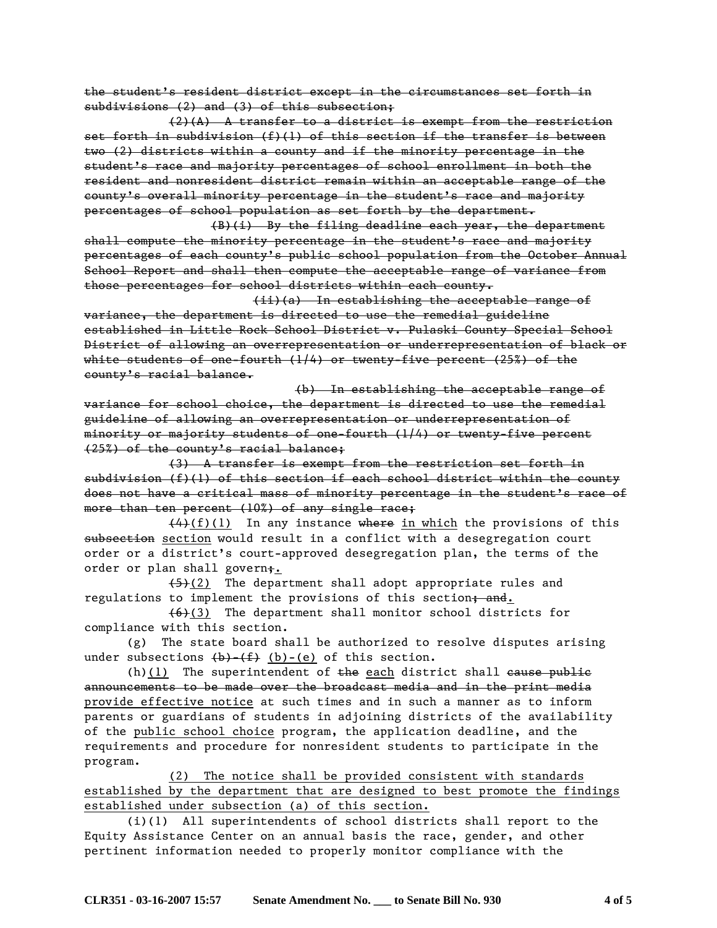the student's resident district except in the circumstances set forth in subdivisions (2) and (3) of this subsection;

 (2)(A) A transfer to a district is exempt from the restriction set forth in subdivision  $(f)(1)$  of this section if the transfer is between two (2) districts within a county and if the minority percentage in the student's race and majority percentages of school enrollment in both the resident and nonresident district remain within an acceptable range of the county's overall minority percentage in the student's race and majority percentages of school population as set forth by the department.

 (B)(i) By the filing deadline each year, the department shall compute the minority percentage in the student's race and majority percentages of each county's public school population from the October Annual School Report and shall then compute the acceptable range of variance from those percentages for school districts within each county.

 (ii)(a) In establishing the acceptable range of variance, the department is directed to use the remedial guideline established in Little Rock School District v. Pulaski County Special School District of allowing an overrepresentation or underrepresentation of black or white students of one-fourth (1/4) or twenty-five percent (25%) of the county's racial balance.

 (b) In establishing the acceptable range of variance for school choice, the department is directed to use the remedial guideline of allowing an overrepresentation or underrepresentation of minority or majority students of one-fourth (1/4) or twenty-five percent (25%) of the county's racial balance;

 (3) A transfer is exempt from the restriction set forth in subdivision (f)(1) of this section if each school district within the county does not have a critical mass of minority percentage in the student's race of more than ten percent (10%) of any single race;

 $(4)(f)(1)$  In any instance where in which the provisions of this subsection section would result in a conflict with a desegregation court order or a district's court-approved desegregation plan, the terms of the order or plan shall govern;.

 $(5)(2)$  The department shall adopt appropriate rules and regulations to implement the provisions of this section; and.

 $(6)(3)$  The department shall monitor school districts for compliance with this section.

 (g) The state board shall be authorized to resolve disputes arising under subsections  $(b)$ - $(f)$   $(b)$ - $(e)$  of this section.

(h)(1) The superintendent of  $t$ he each district shall cause public announcements to be made over the broadcast media and in the print media provide effective notice at such times and in such a manner as to inform parents or guardians of students in adjoining districts of the availability of the public school choice program, the application deadline, and the requirements and procedure for nonresident students to participate in the program.

 (2) The notice shall be provided consistent with standards established by the department that are designed to best promote the findings established under subsection (a) of this section.

 (i)(1) All superintendents of school districts shall report to the Equity Assistance Center on an annual basis the race, gender, and other pertinent information needed to properly monitor compliance with the